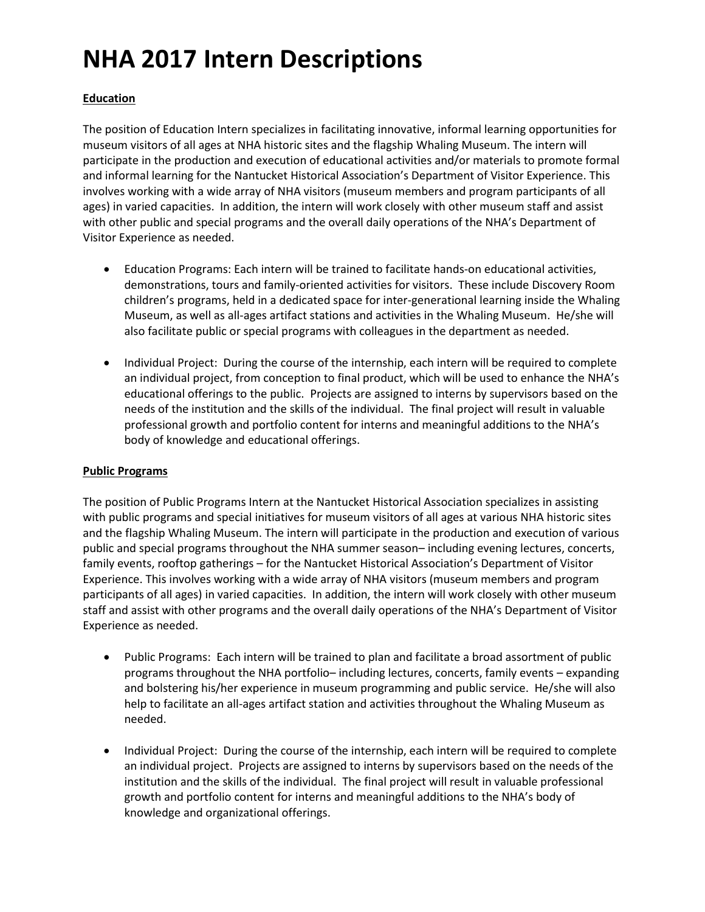# **NHA 2017 Intern Descriptions**

### **Education**

The position of Education Intern specializes in facilitating innovative, informal learning opportunities for museum visitors of all ages at NHA historic sites and the flagship Whaling Museum. The intern will participate in the production and execution of educational activities and/or materials to promote formal and informal learning for the Nantucket Historical Association's Department of Visitor Experience. This involves working with a wide array of NHA visitors (museum members and program participants of all ages) in varied capacities. In addition, the intern will work closely with other museum staff and assist with other public and special programs and the overall daily operations of the NHA's Department of Visitor Experience as needed.

- Education Programs: Each intern will be trained to facilitate hands-on educational activities, demonstrations, tours and family-oriented activities for visitors. These include Discovery Room children's programs, held in a dedicated space for inter-generational learning inside the Whaling Museum, as well as all-ages artifact stations and activities in the Whaling Museum. He/she will also facilitate public or special programs with colleagues in the department as needed.
- Individual Project: During the course of the internship, each intern will be required to complete an individual project, from conception to final product, which will be used to enhance the NHA's educational offerings to the public. Projects are assigned to interns by supervisors based on the needs of the institution and the skills of the individual. The final project will result in valuable professional growth and portfolio content for interns and meaningful additions to the NHA's body of knowledge and educational offerings.

#### **Public Programs**

The position of Public Programs Intern at the Nantucket Historical Association specializes in assisting with public programs and special initiatives for museum visitors of all ages at various NHA historic sites and the flagship Whaling Museum. The intern will participate in the production and execution of various public and special programs throughout the NHA summer season– including evening lectures, concerts, family events, rooftop gatherings – for the Nantucket Historical Association's Department of Visitor Experience. This involves working with a wide array of NHA visitors (museum members and program participants of all ages) in varied capacities. In addition, the intern will work closely with other museum staff and assist with other programs and the overall daily operations of the NHA's Department of Visitor Experience as needed.

- Public Programs: Each intern will be trained to plan and facilitate a broad assortment of public programs throughout the NHA portfolio– including lectures, concerts, family events – expanding and bolstering his/her experience in museum programming and public service. He/she will also help to facilitate an all-ages artifact station and activities throughout the Whaling Museum as needed.
- Individual Project: During the course of the internship, each intern will be required to complete an individual project. Projects are assigned to interns by supervisors based on the needs of the institution and the skills of the individual. The final project will result in valuable professional growth and portfolio content for interns and meaningful additions to the NHA's body of knowledge and organizational offerings.